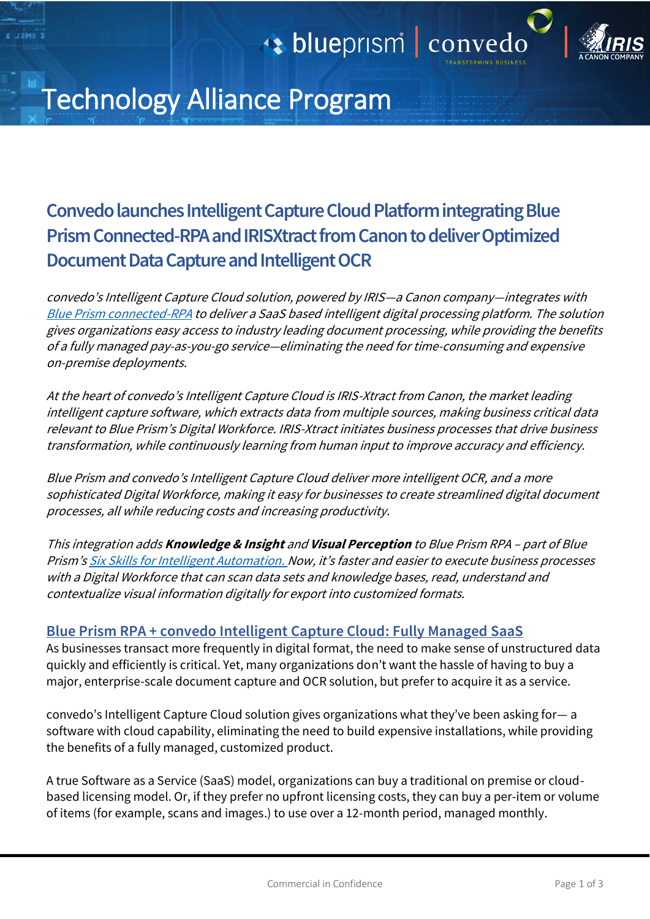



# Technology Alliance Program

**Convedo launches Intelligent Capture Cloud Platform integrating Blue Prism Connected-RPA and IRISXtract from Canon to deliver Optimized Document Data Capture and Intelligent OCR** 

convedo's Intelligent Capture Cloud solution, powered by IRIS—a Canon company—integrates with [Blue Prism connected-RPA](https://www.blueprism.com/news/blue-prism-drives-new-era-of-collaborative-innovation-and-intelligent-automation-with-connected-rpa) to deliver a SaaS based intelligent digital processing platform. The solution gives organizations easy access to industry leading document processing, while providing the benefits of a fully managed pay-as-you-go service—eliminating the need for time-consuming and expensive on-premise deployments.

At the heart of convedo's Intelligent Capture Cloud is IRIS-Xtract from Canon, the market leading intelligent capture software, which extracts data from multiple sources, making business critical data relevant to Blue Prism's Digital Workforce. IRIS-Xtract initiates business processes that drive business transformation, while continuously learning from human input to improve accuracy and efficiency.

Blue Prism and convedo's Intelligent Capture Cloud deliver more intelligent OCR, and a more sophisticated Digital Workforce, making it easy for businesses to create streamlined digital document processes, all while reducing costs and increasing productivity.

This integration adds **Knowledge & Insight** and **Visual Perception** to Blue Prism RPA – part of Blue Prism's [Six Skills for Intelligent Automation.](https://www.blueprism.com/intelligent-automation-skills) Now, it's faster and easier to execute business processes with a Digital Workforce that can scan data sets and knowledge bases, read, understand and contextualize visual information digitally for export into customized formats.

## **Blue Prism RPA + convedo Intelligent Capture Cloud: Fully Managed SaaS**

As businesses transact more frequently in digital format, the need to make sense of unstructured data quickly and efficiently is critical. Yet, many organizations don't want the hassle of having to buy a major, enterprise-scale document capture and OCR solution, but prefer to acquire it as a service.

convedo's Intelligent Capture Cloud solution gives organizations what they've been asking for— a software with cloud capability, eliminating the need to build expensive installations, while providing the benefits of a fully managed, customized product.

A true Software as a Service (SaaS) model, organizations can buy a traditional on premise or cloudbased licensing model. Or, if they prefer no upfront licensing costs, they can buy a per-item or volume of items (for example, scans and images.) to use over a 12-month period, managed monthly.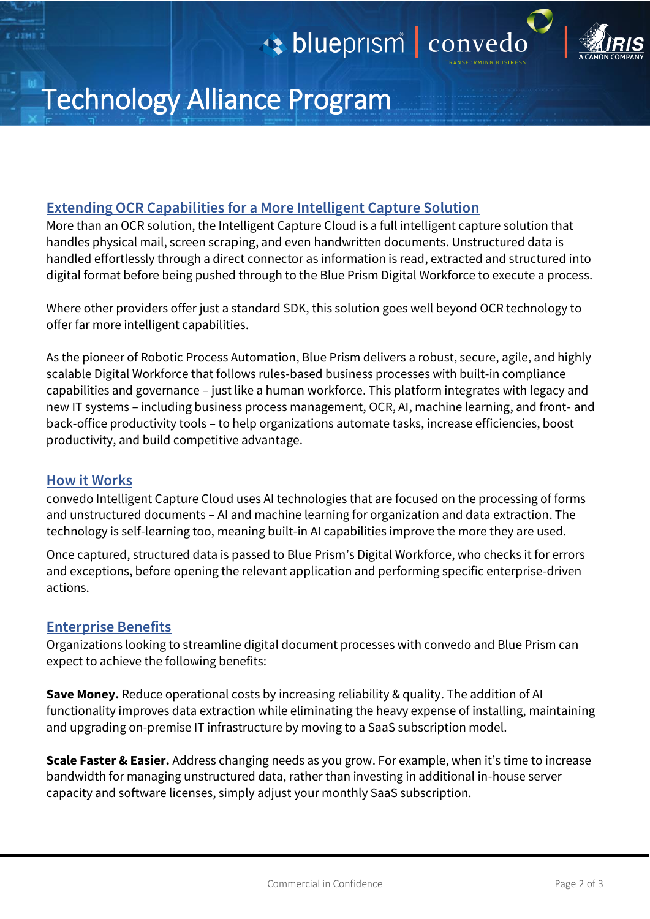## + blueprism convedo





## Technology Alliance Program

### **Extending OCR Capabilities for a More Intelligent Capture Solution**

More than an OCR solution, the Intelligent Capture Cloud is a full intelligent capture solution that handles physical mail, screen scraping, and even handwritten documents. Unstructured data is handled effortlessly through a direct connector as information is read, extracted and structured into digital format before being pushed through to the Blue Prism Digital Workforce to execute a process.

Where other providers offer just a standard SDK, this solution goes well beyond OCR technology to offer far more intelligent capabilities.

As the pioneer of Robotic Process Automation, Blue Prism delivers a robust, secure, agile, and highly scalable Digital Workforce that follows rules-based business processes with built-in compliance capabilities and governance – just like a human workforce. This platform integrates with legacy and new IT systems – including business process management, OCR, AI, machine learning, and front- and back-office productivity tools – to help organizations automate tasks, increase efficiencies, boost productivity, and build competitive advantage.

### **How it Works**

convedo Intelligent Capture Cloud uses AI technologies that are focused on the processing of forms and unstructured documents – AI and machine learning for organization and data extraction. The technology is self-learning too, meaning built-in AI capabilities improve the more they are used.

Once captured, structured data is passed to Blue Prism's Digital Workforce, who checks it for errors and exceptions, before opening the relevant application and performing specific enterprise-driven actions.

### **Enterprise Benefits**

Organizations looking to streamline digital document processes with convedo and Blue Prism can expect to achieve the following benefits:

**Save Money.** Reduce operational costs by increasing reliability & quality. The addition of AI functionality improves data extraction while eliminating the heavy expense of installing, maintaining and upgrading on-premise IT infrastructure by moving to a SaaS subscription model.

**Scale Faster & Easier.** Address changing needs as you grow. For example, when it's time to increase bandwidth for managing unstructured data, rather than investing in additional in-house server capacity and software licenses, simply adjust your monthly SaaS subscription.